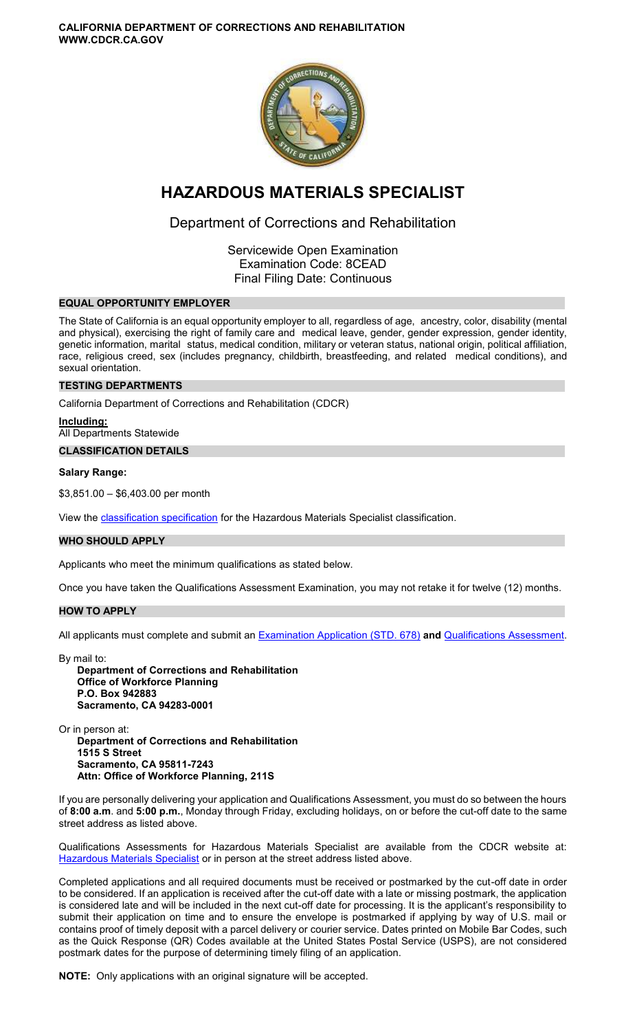**CALIFORNIA DEPARTMENT OF CORRECTIONS AND REHABILITATION WWW.CDCR.CA.GOV** 



# **HAZARDOUS MATERIALS SPECIALIST**

# Department of Corrections and Rehabilitation

Servicewide Open Examination Examination Code: 8CEAD Final Filing Date: Continuous

## **EQUAL OPPORTUNITY EMPLOYER**

The State of California is an equal opportunity employer to all, regardless of age, ancestry, color, disability (mental and physical), exercising the right of family care and medical leave, gender, gender expression, gender identity, genetic information, marital status, medical condition, military or veteran status, national origin, political affiliation, race, religious creed, sex (includes pregnancy, childbirth, breastfeeding, and related medical conditions), and sexual orientation.

## **TESTING DEPARTMENTS**

California Department of Corrections and Rehabilitation (CDCR)

**Including:** 

All Departments Statewide

**CLASSIFICATION DETAILS** 

#### **Salary Range:**

\$3,851.00 – \$6,403.00 per month

View the [classification specification](http://www.calhr.ca.gov/state-hr-professionals/pages/3529.aspx) for the Hazardous Materials Specialist classification.

## **WHO SHOULD APPLY**

Applicants who meet the minimum qualifications as stated below.

Once you have taken the Qualifications Assessment Examination, you may not retake it for twelve (12) months.

#### **HOW TO APPLY**

All applicants must complete and submit an [Examination Application \(STD. 678\)](https://jobs.ca.gov/pdf/STD678.pdf) **and** [Qualifications Assessment.](https://www.cdcr.ca.gov/careers/hazmatspecqa-o-c/)

By mail to: **Department of Corrections and Rehabilitation Office of Workforce Planning P.O. Box 942883 Sacramento, CA 94283-0001** 

Or in person at:

**Department of Corrections and Rehabilitation 1515 S Street Sacramento, CA 95811-7243 Attn: Office of Workforce Planning, 211S** 

If you are personally delivering your application and Qualifications Assessment, you must do so between the hours of **8:00 a.m**. and **5:00 p.m.**, Monday through Friday, excluding holidays, on or before the cut-off date to the same street address as listed above.

Qualifications Assessments for Hazardous Materials Specialist are available from the CDCR website at: [Hazardous Materials Specialist](https://www.cdcr.ca.gov/careers/hazmatspecqa-o-c/) or in person at the street address listed above.

Completed applications and all required documents must be received or postmarked by the cut-off date in order to be considered. If an application is received after the cut-off date with a late or missing postmark, the application is considered late and will be included in the next cut-off date for processing. It is the applicant's responsibility to submit their application on time and to ensure the envelope is postmarked if applying by way of U.S. mail or contains proof of timely deposit with a parcel delivery or courier service. Dates printed on Mobile Bar Codes, such as the Quick Response (QR) Codes available at the United States Postal Service (USPS), are not considered postmark dates for the purpose of determining timely filing of an application.

**NOTE:** Only applications with an original signature will be accepted.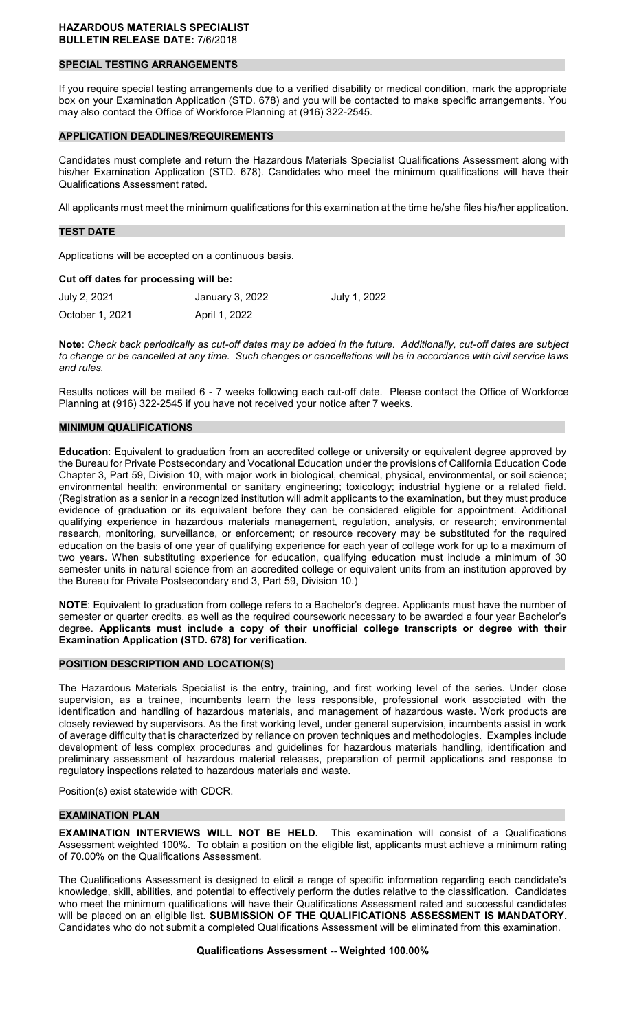#### **HAZARDOUS MATERIALS SPECIALIST BULLETIN RELEASE DATE:** 7/6/2018

#### **SPECIAL TESTING ARRANGEMENTS**

If you require special testing arrangements due to a verified disability or medical condition, mark the appropriate box on your Examination Application (STD. 678) and you will be contacted to make specific arrangements. You may also contact the Office of Workforce Planning at (916) 322-2545.

#### **APPLICATION DEADLINES/REQUIREMENTS**

Candidates must complete and return the Hazardous Materials Specialist Qualifications Assessment along with his/her Examination Application (STD. 678). Candidates who meet the minimum qualifications will have their Qualifications Assessment rated.

All applicants must meet the minimum qualifications for this examination at the time he/she files his/her application.

#### **TEST DATE**

Applications will be accepted on a continuous basis.

#### **Cut off dates for processing will be:**

| July 2, 2021    | January 3, 2022 | July 1, 2022 |
|-----------------|-----------------|--------------|
| October 1, 2021 | April 1, 2022   |              |

**Note**: *Check back periodically as cut-off dates may be added in the future. Additionally, cut-off dates are subject to change or be cancelled at any time. Such changes or cancellations will be in accordance with civil service laws and rules.* 

Results notices will be mailed 6 - 7 weeks following each cut-off date. Please contact the Office of Workforce Planning at (916) 322-2545 if you have not received your notice after 7 weeks.

#### **MINIMUM QUALIFICATIONS**

**Education**: Equivalent to graduation from an accredited college or university or equivalent degree approved by the Bureau for Private Postsecondary and Vocational Education under the provisions of California Education Code Chapter 3, Part 59, Division 10, with major work in biological, chemical, physical, environmental, or soil science; environmental health; environmental or sanitary engineering; toxicology; industrial hygiene or a related field. (Registration as a senior in a recognized institution will admit applicants to the examination, but they must produce evidence of graduation or its equivalent before they can be considered eligible for appointment. Additional qualifying experience in hazardous materials management, regulation, analysis, or research; environmental research, monitoring, surveillance, or enforcement; or resource recovery may be substituted for the required education on the basis of one year of qualifying experience for each year of college work for up to a maximum of two years. When substituting experience for education, qualifying education must include a minimum of 30 semester units in natural science from an accredited college or equivalent units from an institution approved by the Bureau for Private Postsecondary and 3, Part 59, Division 10.)

**NOTE**: Equivalent to graduation from college refers to a Bachelor's degree. Applicants must have the number of semester or quarter credits, as well as the required coursework necessary to be awarded a four year Bachelor's degree. **Applicants must include a copy of their unofficial college transcripts or degree with their Examination Application (STD. 678) for verification.** 

#### **POSITION DESCRIPTION AND LOCATION(S)**

The Hazardous Materials Specialist is the entry, training, and first working level of the series. Under close supervision, as a trainee, incumbents learn the less responsible, professional work associated with the identification and handling of hazardous materials, and management of hazardous waste. Work products are closely reviewed by supervisors. As the first working level, under general supervision, incumbents assist in work of average difficulty that is characterized by reliance on proven techniques and methodologies. Examples include development of less complex procedures and guidelines for hazardous materials handling, identification and preliminary assessment of hazardous material releases, preparation of permit applications and response to regulatory inspections related to hazardous materials and waste.

Position(s) exist statewide with CDCR.

# **EXAMINATION PLAN**

**EXAMINATION INTERVIEWS WILL NOT BE HELD.** This examination will consist of a Qualifications Assessment weighted 100%. To obtain a position on the eligible list, applicants must achieve a minimum rating of 70.00% on the Qualifications Assessment.

The Qualifications Assessment is designed to elicit a range of specific information regarding each candidate's knowledge, skill, abilities, and potential to effectively perform the duties relative to the classification. Candidates who meet the minimum qualifications will have their Qualifications Assessment rated and successful candidates will be placed on an eligible list. **SUBMISSION OF THE QUALIFICATIONS ASSESSMENT IS MANDATORY.**  Candidates who do not submit a completed Qualifications Assessment will be eliminated from this examination.

#### **Qualifications Assessment -- Weighted 100.00%**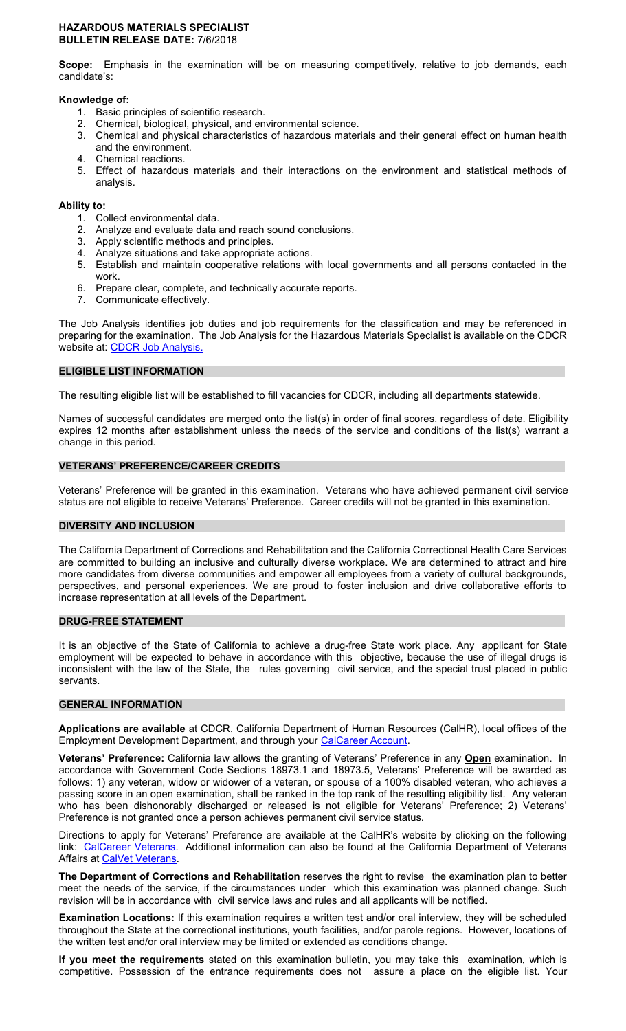#### **HAZARDOUS MATERIALS SPECIALIST BULLETIN RELEASE DATE:** 7/6/2018

**Scope:** Emphasis in the examination will be on measuring competitively, relative to job demands, each candidate's:

#### **Knowledge of:**

- 1. Basic principles of scientific research.
- 2. Chemical, biological, physical, and environmental science.
- 3. Chemical and physical characteristics of hazardous materials and their general effect on human health and the environment.
- 4. Chemical reactions.
- 5. Effect of hazardous materials and their interactions on the environment and statistical methods of analysis.

#### **Ability to:**

- 1. Collect environmental data.
- 2. Analyze and evaluate data and reach sound conclusions.
- 3. Apply scientific methods and principles.
- 4. Analyze situations and take appropriate actions.
- 5. Establish and maintain cooperative relations with local governments and all persons contacted in the work.
- 6. Prepare clear, complete, and technically accurate reports.
- 7. Communicate effectively.

The Job Analysis identifies job duties and job requirements for the classification and may be referenced in preparing for the examination. The Job Analysis for the Hazardous Materials Specialist is available on the CDCR website at: [CDCR Job Analysis.](https://www.cdcr.ca.gov/Career_Opportunities/HR/OPS/Exams/Analysis/index.html)

#### **ELIGIBLE LIST INFORMATION**

The resulting eligible list will be established to fill vacancies for CDCR, including all departments statewide.

Names of successful candidates are merged onto the list(s) in order of final scores, regardless of date. Eligibility expires 12 months after establishment unless the needs of the service and conditions of the list(s) warrant a change in this period.

## **VETERANS' PREFERENCE/CAREER CREDITS**

Veterans' Preference will be granted in this examination. Veterans who have achieved permanent civil service status are not eligible to receive Veterans' Preference. Career credits will not be granted in this examination.

#### **DIVERSITY AND INCLUSION**

The California Department of Corrections and Rehabilitation and the California Correctional Health Care Services are committed to building an inclusive and culturally diverse workplace. We are determined to attract and hire more candidates from diverse communities and empower all employees from a variety of cultural backgrounds, perspectives, and personal experiences. We are proud to foster inclusion and drive collaborative efforts to increase representation at all levels of the Department.

#### **DRUG-FREE STATEMENT**

It is an objective of the State of California to achieve a drug-free State work place. Any applicant for State employment will be expected to behave in accordance with this objective, because the use of illegal drugs is inconsistent with the law of the State, the rules governing civil service, and the special trust placed in public servants.

#### **GENERAL INFORMATION**

**Applications are available** at CDCR, California Department of Human Resources (CalHR), local offices of the Employment Development Department, and through your [CalCareer Account.](https://www.jobs.ca.gov/)

**Veterans' Preference:** California law allows the granting of Veterans' Preference in any **Open** examination. In accordance with Government Code Sections 18973.1 and 18973.5, Veterans' Preference will be awarded as follows: 1) any veteran, widow or widower of a veteran, or spouse of a 100% disabled veteran, who achieves a passing score in an open examination, shall be ranked in the top rank of the resulting eligibility list. Any veteran who has been dishonorably discharged or released is not eligible for Veterans' Preference; 2) Veterans' Preference is not granted once a person achieves permanent civil service status.

Directions to apply for Veterans' Preference are available at the CalHR's website by clicking on the following link: [CalCareer Veterans.](https://jobs.ca.gov/CalHRPublic/Landing/Veterans.aspx) Additional information can also be found at the California Department of Veterans Affairs at [CalVet Veterans.](http://www.calvet.ca.gov/veteran-services-benefits/employment)

**The Department of Corrections and Rehabilitation** reserves the right to revise the examination plan to better meet the needs of the service, if the circumstances under which this examination was planned change. Such revision will be in accordance with civil service laws and rules and all applicants will be notified.

**Examination Locations:** If this examination requires a written test and/or oral interview, they will be scheduled throughout the State at the correctional institutions, youth facilities, and/or parole regions. However, locations of the written test and/or oral interview may be limited or extended as conditions change.

**If you meet the requirements** stated on this examination bulletin, you may take this examination, which is competitive. Possession of the entrance requirements does not assure a place on the eligible list. Your